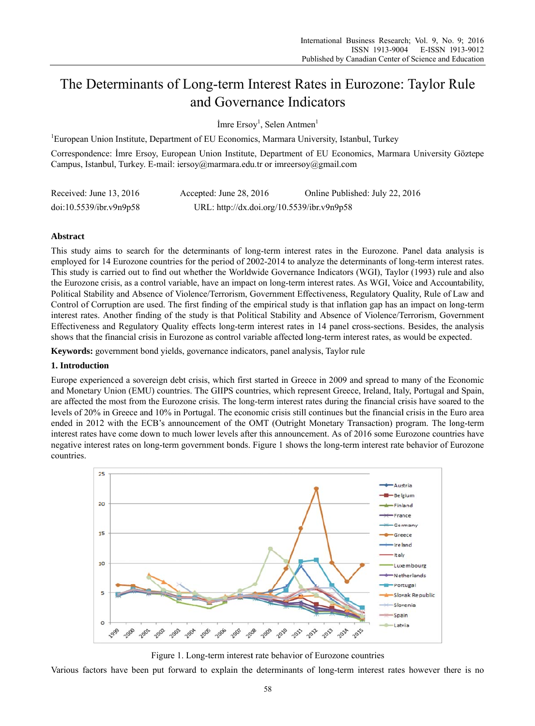# The Determinants of Long-term Interest Rates in Eurozone: Taylor Rule and Governance Indicators

Imre Ersoy<sup>1</sup>, Selen Antmen<sup>1</sup>

 ${}^{1}$ European Union Institute, Department of EU Economics, Marmara University, Istanbul, Turkey

Correspondence: Imre Ersoy, European Union Institute, Department of EU Economics, Marmara University Göztepe Campus, Istanbul, Turkey. E-mail: iersoy@marmara.edu.tr or imreersoy@gmail.com

| Received: June $13, 2016$ | Accepted: June $28, 2016$                  | Online Published: July 22, 2016 |
|---------------------------|--------------------------------------------|---------------------------------|
| doi:10.5539/ibr.v9n9p58   | URL: http://dx.doi.org/10.5539/ibr.v9n9p58 |                                 |

# **Abstract**

This study aims to search for the determinants of long-term interest rates in the Eurozone. Panel data analysis is employed for 14 Eurozone countries for the period of 2002-2014 to analyze the determinants of long-term interest rates. This study is carried out to find out whether the Worldwide Governance Indicators (WGI), Taylor (1993) rule and also the Eurozone crisis, as a control variable, have an impact on long-term interest rates. As WGI, Voice and Accountability, Political Stability and Absence of Violence/Terrorism, Government Effectiveness, Regulatory Quality, Rule of Law and Control of Corruption are used. The first finding of the empirical study is that inflation gap has an impact on long-term interest rates. Another finding of the study is that Political Stability and Absence of Violence/Terrorism, Government Effectiveness and Regulatory Quality effects long-term interest rates in 14 panel cross-sections. Besides, the analysis shows that the financial crisis in Eurozone as control variable affected long-term interest rates, as would be expected.

Keywords: government bond yields, governance indicators, panel analysis, Taylor rule

# 1. Introduction

Europe experienced a sovereign debt crisis, which first started in Greece in 2009 and spread to many of the Economic and Monetary Union (EMU) countries. The GIIPS countries, which represent Greece, Ireland, Italy, Portugal and Spain, are affected the most from the Eurozone crisis. The long-term interest rates during the financial crisis have soared to the levels of 20% in Greece and 10% in Portugal. The economic crisis still continues but the financial crisis in the Euro area ended in 2012 with the ECB's announcement of the OMT (Outright Monetary Transaction) program. The long-term interest rates have come down to much lower levels after this announcement. As of 2016 some Eurozone countries have negative interest rates on long-term government bonds. Figure 1 shows the long-term interest rate behavior of Eurozone countries.



Figure 1. Long-term interest rate behavior of Eurozone countries

Various factors have been put forward to explain the determinants of long-term interest rates however there is no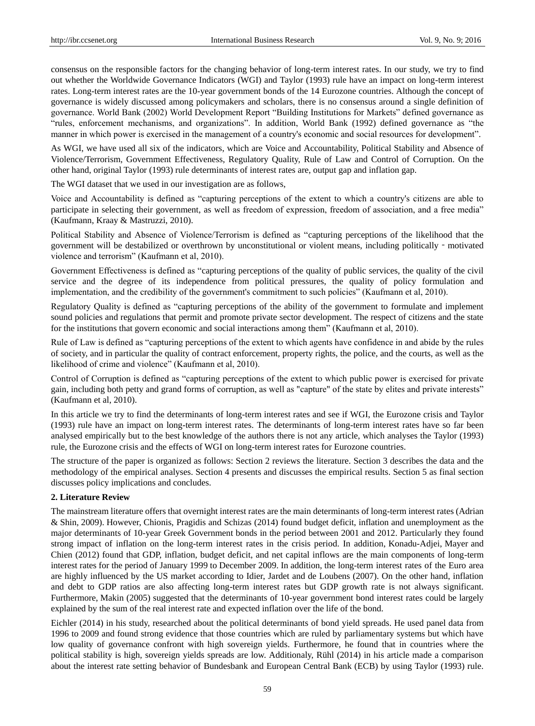consensus on the responsible factors for the changing behavior of long-term interest rates. In our study, we try to find out whether the Worldwide Governance Indicators (WGI) and Taylor (1993) rule have an impact on long-term interest rates. Long-term interest rates are the 10-year government bonds of the 14 Eurozone countries. Although the concept of governance is widely discussed among policymakers and scholars, there is no consensus around a single definition of governance. World Bank (2002) World Development Report "Building Institutions for Markets" defined governance as "rules, enforcement mechanisms, and organizations". In addition, World Bank (1992) defined governance as "the manner in which power is exercised in the management of a country's economic and social resources for development".

As WGI, we have used all six of the indicators, which are Voice and Accountability, Political Stability and Absence of Violence/Terrorism, Government Effectiveness, Regulatory Quality, Rule of Law and Control of Corruption. On the other hand, original Taylor (1993) rule determinants of interest rates are, output gap and inflation gap.

The WGI dataset that we used in our investigation are as follows,

Voice and Accountability is defined as "capturing perceptions of the extent to which a country's citizens are able to participate in selecting their government, as well as freedom of expression, freedom of association, and a free media" (Kaufmann, Kraay & Mastruzzi, 2010).

Political Stability and Absence of Violence/Terrorism is defined as "capturing perceptions of the likelihood that the government will be destabilized or overthrown by unconstitutional or violent means, including politically‐motivated violence and terrorism" (Kaufmann et al, 2010).

Government Effectiveness is defined as "capturing perceptions of the quality of public services, the quality of the civil service and the degree of its independence from political pressures, the quality of policy formulation and implementation, and the credibility of the government's commitment to such policies" (Kaufmann et al, 2010).

Regulatory Quality is defined as "capturing perceptions of the ability of the government to formulate and implement sound policies and regulations that permit and promote private sector development. The respect of citizens and the state for the institutions that govern economic and social interactions among them" (Kaufmann et al, 2010).

Rule of Law is defined as "capturing perceptions of the extent to which agents have confidence in and abide by the rules of society, and in particular the quality of contract enforcement, property rights, the police, and the courts, as well as the likelihood of crime and violence" (Kaufmann et al, 2010).

Control of Corruption is defined as "capturing perceptions of the extent to which public power is exercised for private gain, including both petty and grand forms of corruption, as well as "capture" of the state by elites and private interests" (Kaufmann et al, 2010).

In this article we try to find the determinants of long-term interest rates and see if WGI, the Eurozone crisis and Taylor (1993) rule have an impact on long-term interest rates. The determinants of long-term interest rates have so far been analysed empirically but to the best knowledge of the authors there is not any article, which analyses the Taylor (1993) rule, the Eurozone crisis and the effects of WGI on long-term interest rates for Eurozone countries.

The structure of the paper is organized as follows: Section 2 reviews the literature. Section 3 describes the data and the methodology of the empirical analyses. Section 4 presents and discusses the empirical results. Section 5 as final section discusses policy implications and concludes.

#### **2. Literature Review**

The mainstream literature offers that overnight interest rates are the main determinants of long-term interest rates (Adrian & Shin, 2009). However, Chionis, Pragidis and Schizas (2014) found budget deficit, inflation and unemployment as the major determinants of 10-year Greek Government bonds in the period between 2001 and 2012. Particularly they found strong impact of inflation on the long-term interest rates in the crisis period. In addition, Konadu-Adjei, Mayer and Chien (2012) found that GDP, inflation, budget deficit, and net capital inflows are the main components of long-term interest rates for the period of January 1999 to December 2009. In addition, the long-term interest rates of the Euro area are highly influenced by the US market according to Idier, Jardet and de Loubens (2007). On the other hand, inflation and debt to GDP ratios are also affecting long-term interest rates but GDP growth rate is not always significant. Furthermore, Makin (2005) suggested that the determinants of 10-year government bond interest rates could be largely explained by the sum of the real interest rate and expected inflation over the life of the bond.

Eichler (2014) in his study, researched about the political determinants of bond yield spreads. He used panel data from 1996 to 2009 and found strong evidence that those countries which are ruled by parliamentary systems but which have low quality of governance confront with high sovereign yields. Furthermore, he found that in countries where the political stability is high, sovereign yields spreads are low. Additionaly, Rühl (2014) in his article made a comparison about the interest rate setting behavior of Bundesbank and European Central Bank (ECB) by using Taylor (1993) rule.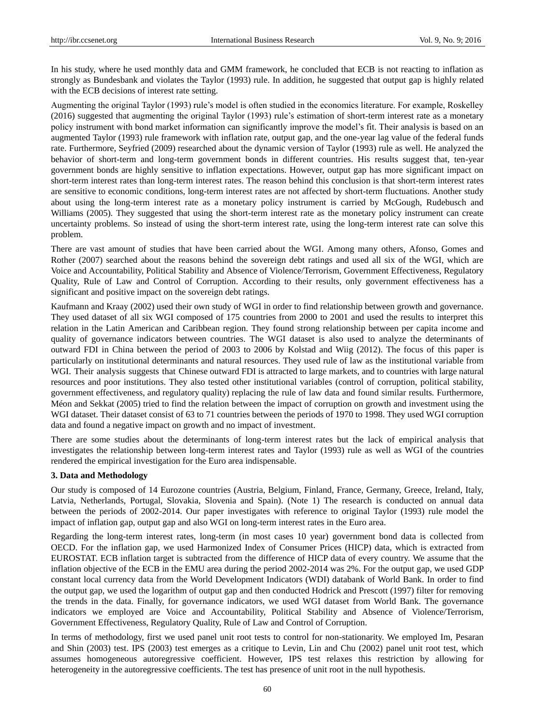In his study, where he used monthly data and GMM framework, he concluded that ECB is not reacting to inflation as strongly as Bundesbank and violates the Taylor (1993) rule. In addition, he suggested that output gap is highly related with the ECB decisions of interest rate setting.

Augmenting the original Taylor (1993) rule's model is often studied in the economics literature. For example, Roskelley (2016) suggested that augmenting the original Taylor (1993) rule's estimation of short-term interest rate as a monetary policy instrument with bond market information can significantly improve the model's fit. Their analysis is based on an augmented Taylor (1993) rule framework with inflation rate, output gap, and the one-year lag value of the federal funds rate. Furthermore, Seyfried (2009) researched about the dynamic version of Taylor (1993) rule as well. He analyzed the behavior of short-term and long-term government bonds in different countries. His results suggest that, ten-year government bonds are highly sensitive to inflation expectations. However, output gap has more significant impact on short-term interest rates than long-term interest rates. The reason behind this conclusion is that short-term interest rates are sensitive to economic conditions, long-term interest rates are not affected by short-term fluctuations. Another study about using the long-term interest rate as a monetary policy instrument is carried by McGough, Rudebusch and Williams (2005). They suggested that using the short-term interest rate as the monetary policy instrument can create uncertainty problems. So instead of using the short-term interest rate, using the long-term interest rate can solve this problem.

There are vast amount of studies that have been carried about the WGI. Among many others, Afonso, Gomes and Rother (2007) searched about the reasons behind the sovereign debt ratings and used all six of the WGI, which are Voice and Accountability, Political Stability and Absence of Violence/Terrorism, Government Effectiveness, Regulatory Quality, Rule of Law and Control of Corruption. According to their results, only government effectiveness has a significant and positive impact on the sovereign debt ratings.

Kaufmann and Kraay (2002) used their own study of WGI in order to find relationship between growth and governance. They used dataset of all six WGI composed of 175 countries from 2000 to 2001 and used the results to interpret this relation in the Latin American and Caribbean region. They found strong relationship between per capita income and quality of governance indicators between countries. The WGI dataset is also used to analyze the determinants of outward FDI in China between the period of 2003 to 2006 by Kolstad and Wiig (2012). The focus of this paper is particularly on institutional determinants and natural resources. They used rule of law as the institutional variable from WGI. Their analysis suggests that Chinese outward FDI is attracted to large markets, and to countries with large natural resources and poor institutions. They also tested other institutional variables (control of corruption, political stability, government effectiveness, and regulatory quality) replacing the rule of law data and found similar results. Furthermore, Méon and Sekkat (2005) tried to find the relation between the impact of corruption on growth and investment using the WGI dataset. Their dataset consist of 63 to 71 countries between the periods of 1970 to 1998. They used WGI corruption data and found a negative impact on growth and no impact of investment.

There are some studies about the determinants of long-term interest rates but the lack of empirical analysis that investigates the relationship between long-term interest rates and Taylor (1993) rule as well as WGI of the countries rendered the empirical investigation for the Euro area indispensable.

## **3. Data and Methodology**

Our study is composed of 14 Eurozone countries (Austria, Belgium, Finland, France, Germany, Greece, Ireland, Italy, Latvia, Netherlands, Portugal, Slovakia, Slovenia and Spain). (Note 1) The research is conducted on annual data between the periods of 2002-2014. Our paper investigates with reference to original Taylor (1993) rule model the impact of inflation gap, output gap and also WGI on long-term interest rates in the Euro area.

Regarding the long-term interest rates, long-term (in most cases 10 year) government bond data is collected from OECD. For the inflation gap, we used Harmonized Index of Consumer Prices (HICP) data, which is extracted from EUROSTAT. ECB inflation target is subtracted from the difference of HICP data of every country. We assume that the inflation objective of the ECB in the EMU area during the period 2002-2014 was 2%. For the output gap, we used GDP constant local currency data from the World Development Indicators (WDI) databank of World Bank. In order to find the output gap, we used the logarithm of output gap and then conducted Hodrick and Prescott (1997) filter for removing the trends in the data. Finally, for governance indicators, we used WGI dataset from World Bank. The governance indicators we employed are Voice and Accountability, Political Stability and Absence of Violence/Terrorism, Government Effectiveness, Regulatory Quality, Rule of Law and Control of Corruption.

In terms of methodology, first we used panel unit root tests to control for non-stationarity. We employed Im, Pesaran and Shin (2003) test. IPS (2003) test emerges as a critique to Levin, Lin and Chu (2002) panel unit root test, which assumes homogeneous autoregressive coefficient. However, IPS test relaxes this restriction by allowing for heterogeneity in the autoregressive coefficients. The test has presence of unit root in the null hypothesis.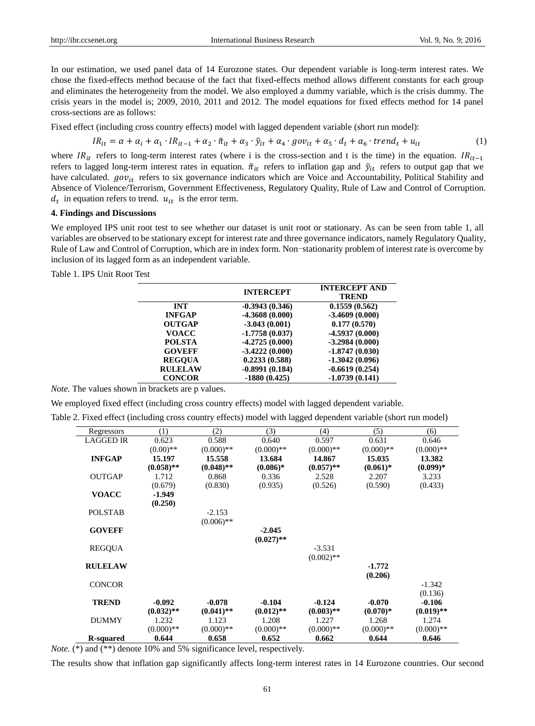In our estimation, we used panel data of 14 Eurozone states. Our dependent variable is long-term interest rates. We chose the fixed-effects method because of the fact that fixed-effects method allows different constants for each group and eliminates the heterogeneity from the model. We also employed a dummy variable, which is the crisis dummy. The crisis years in the model is; 2009, 2010, 2011 and 2012. The model equations for fixed effects method for 14 panel cross-sections are as follows:

Fixed effect (including cross country effects) model with lagged dependent variable (short run model):

$$
IR_{it} = \alpha + \alpha_i + \alpha_1 \cdot IR_{it-1} + \alpha_2 \cdot \tilde{\pi}_{it} + \alpha_3 \cdot \tilde{y}_{it} + \alpha_4 \cdot gov_{it} + \alpha_5 \cdot d_t + \alpha_6 \cdot trend_t + u_{it}
$$
 (1)

where  $IR_{it}$  refers to long-term interest rates (where i is the cross-section and t is the time) in the equation.  $IR_{it-1}$ refers to lagged long-term interest rates in equation.  $\tilde{\pi}_{it}$  refers to inflation gap and  $\tilde{y}_{it}$  refers to output gap that we have calculated.  $gov_{it}$  refers to six governance indicators which are Voice and Accountability, Political Stability and Absence of Violence/Terrorism, Government Effectiveness, Regulatory Quality, Rule of Law and Control of Corruption.  $d_t$  in equation refers to trend.  $u_{it}$  is the error term.

## **4. Findings and Discussions**

We employed IPS unit root test to see whether our dataset is unit root or stationary. As can be seen from table 1, all variables are observed to be stationary except for interest rate and three governance indicators, namely Regulatory Quality, Rule of Law and Control of Corruption, which are in index form. Non-stationarity problem of interest rate is overcome by inclusion of its lagged form as an independent variable.

Table 1. IPS Unit Root Test

|                | <b>INTERCEPT</b> | <b>INTERCEPT AND</b><br><b>TREND</b> |
|----------------|------------------|--------------------------------------|
| <b>INT</b>     | $-0.3943(0.346)$ | 0.1559(0.562)                        |
| <b>INFGAP</b>  | $-4.3608(0.000)$ | $-3.4609(0.000)$                     |
| <b>OUTGAP</b>  | $-3.043(0.001)$  | 0.177(0.570)                         |
| <b>VOACC</b>   | $-1,7758(0.037)$ | $-4.5937(0.000)$                     |
| <b>POLSTA</b>  | $-4.2725(0.000)$ | $-3.2984(0.000)$                     |
| <b>GOVEFF</b>  | $-3.4222(0.000)$ | $-1.8747(0.030)$                     |
| <b>REGOUA</b>  | 0.2233(0.588)    | $-1.3042(0.096)$                     |
| <b>RULELAW</b> | $-0.8991(0.184)$ | $-0.6619(0.254)$                     |
| <b>CONCOR</b>  | $-1880(0.425)$   | $-1.0739(0.141)$                     |

*Note.* The values shown in brackets are p values.

We employed fixed effect (including cross country effects) model with lagged dependent variable.

|  | Table 2. Fixed effect (including cross country effects) model with lagged dependent variable (short run model) |  |  |  |  |
|--|----------------------------------------------------------------------------------------------------------------|--|--|--|--|
|  |                                                                                                                |  |  |  |  |

| Regressors       | (1)          | (2)          | (3)          | (4)          | (5)         | (6)          |
|------------------|--------------|--------------|--------------|--------------|-------------|--------------|
| <b>LAGGED IR</b> | 0.623        | 0.588        | 0.640        | 0.597        | 0.631       | 0.646        |
|                  | $(0.00)$ **  | $(0.000)**$  | $(0.000)**$  | $(0.000)**$  | $(0.000)**$ | $(0.000)**$  |
| <b>INFGAP</b>    | 15.197       | 15.558       | 13.684       | 14.867       | 15.035      | 13.382       |
|                  | $(0.058)$ ** | $(0.048)$ ** | $(0.086)*$   | $(0.057)$ ** | $(0.061)*$  | $(0.099)*$   |
| <b>OUTGAP</b>    | 1.712        | 0.868        | 0.336        | 2.528        | 2.207       | 3.233        |
|                  | (0.679)      | (0.830)      | (0.935)      | (0.526)      | (0.590)     | (0.433)      |
| <b>VOACC</b>     | $-1.949$     |              |              |              |             |              |
|                  | (0.250)      |              |              |              |             |              |
| POLSTAB          |              | $-2.153$     |              |              |             |              |
|                  |              | $(0.006)$ ** |              |              |             |              |
| <b>GOVEFF</b>    |              |              | $-2.045$     |              |             |              |
|                  |              |              | $(0.027)$ ** |              |             |              |
| REGQUA           |              |              |              | $-3.531$     |             |              |
|                  |              |              |              | $(0.002)$ ** |             |              |
| <b>RULELAW</b>   |              |              |              |              | $-1.772$    |              |
|                  |              |              |              |              | (0.206)     |              |
| <b>CONCOR</b>    |              |              |              |              |             | $-1.342$     |
|                  |              |              |              |              |             | (0.136)      |
| <b>TREND</b>     | $-0.092$     | $-0.078$     | $-0.104$     | $-0.124$     | $-0.070$    | $-0.106$     |
|                  | $(0.032)$ ** | $(0.041)$ ** | $(0.012)$ ** | $(0.003)$ ** | $(0.070)*$  | $(0.019)$ ** |
| <b>DUMMY</b>     | 1.232        | 1.123        | 1.208        | 1.227        | 1.268       | 1.274        |
|                  | $(0.000)$ ** | $(0.000)**$  | $(0.000)**$  | $(0.000)**$  | $(0.000)**$ | $(0.000)$ ** |
| R-squared        | 0.644        | 0.658        | 0.652        | 0.662        | 0.644       | 0.646        |

*Note.* (\*) and (\*\*) denote 10% and 5% significance level, respectively.

The results show that inflation gap significantly affects long-term interest rates in 14 Eurozone countries. Our second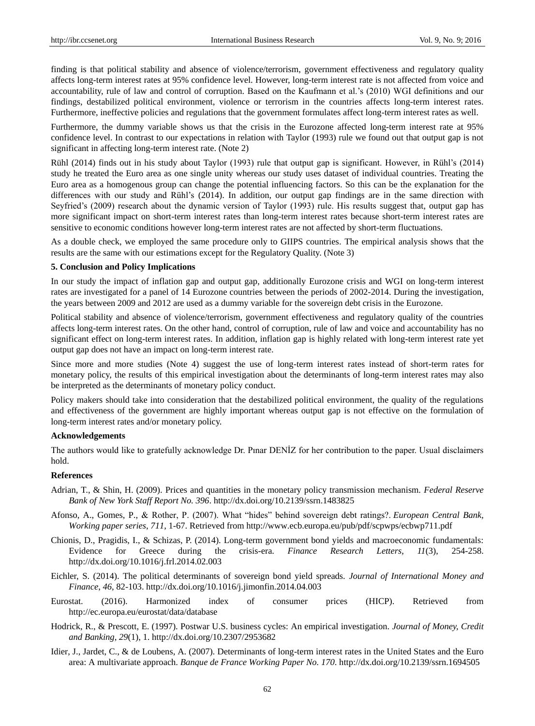finding is that political stability and absence of violence/terrorism, government effectiveness and regulatory quality affects long-term interest rates at 95% confidence level. However, long-term interest rate is not affected from voice and accountability, rule of law and control of corruption. Based on the Kaufmann et al.'s (2010) WGI definitions and our findings, destabilized political environment, violence or terrorism in the countries affects long-term interest rates. Furthermore, ineffective policies and regulations that the government formulates affect long-term interest rates as well.

Furthermore, the dummy variable shows us that the crisis in the Eurozone affected long-term interest rate at 95% confidence level. In contrast to our expectations in relation with Taylor (1993) rule we found out that output gap is not significant in affecting long-term interest rate. (Note 2)

Rühl (2014) finds out in his study about Taylor (1993) rule that output gap is significant. However, in Rühl's (2014) study he treated the Euro area as one single unity whereas our study uses dataset of individual countries. Treating the Euro area as a homogenous group can change the potential influencing factors. So this can be the explanation for the differences with our study and Rühl's (2014). In addition, our output gap findings are in the same direction with Seyfried's (2009) research about the dynamic version of Taylor (1993) rule. His results suggest that, output gap has more significant impact on short-term interest rates than long-term interest rates because short-term interest rates are sensitive to economic conditions however long-term interest rates are not affected by short-term fluctuations.

As a double check, we employed the same procedure only to GIIPS countries. The empirical analysis shows that the results are the same with our estimations except for the Regulatory Quality. (Note 3)

#### **5. Conclusion and Policy Implications**

In our study the impact of inflation gap and output gap, additionally Eurozone crisis and WGI on long-term interest rates are investigated for a panel of 14 Eurozone countries between the periods of 2002-2014. During the investigation, the years between 2009 and 2012 are used as a dummy variable for the sovereign debt crisis in the Eurozone.

Political stability and absence of violence/terrorism, government effectiveness and regulatory quality of the countries affects long-term interest rates. On the other hand, control of corruption, rule of law and voice and accountability has no significant effect on long-term interest rates. In addition, inflation gap is highly related with long-term interest rate yet output gap does not have an impact on long-term interest rate.

Since more and more studies (Note 4) suggest the use of long-term interest rates instead of short-term rates for monetary policy, the results of this empirical investigation about the determinants of long-term interest rates may also be interpreted as the determinants of monetary policy conduct.

Policy makers should take into consideration that the destabilized political environment, the quality of the regulations and effectiveness of the government are highly important whereas output gap is not effective on the formulation of long-term interest rates and/or monetary policy.

## **Acknowledgements**

The authors would like to gratefully acknowledge Dr. Pınar DENİZ for her contribution to the paper. Usual disclaimers hold.

## **References**

- Adrian, T., & Shin, H. (2009). Prices and quantities in the monetary policy transmission mechanism. *Federal Reserve Bank of New York Staff Report No. 396*. http://dx.doi.org/10.2139/ssrn.1483825
- Afonso, A., Gomes, P., & Rother, P. (2007). What "hides" behind sovereign debt ratings?. *European Central Bank, Working paper series*, *711*, 1-67. Retrieved from http://www.ecb.europa.eu/pub/pdf/scpwps/ecbwp711.pdf
- Chionis, D., Pragidis, I., & Schizas, P. (2014). Long-term government bond yields and macroeconomic fundamentals: Evidence for Greece during the crisis-era. *Finance Research Letters*, *11*(3), 254-258. http://dx.doi.org/10.1016/j.frl.2014.02.003
- Eichler, S. (2014). The political determinants of sovereign bond yield spreads. *Journal of International Money and Finance*, *46*, 82-103. http://dx.doi.org/10.1016/j.jimonfin.2014.04.003
- Eurostat. (2016). Harmonized index of consumer prices (HICP). Retrieved from http://ec.europa.eu/eurostat/data/database
- Hodrick, R., & Prescott, E. (1997). Postwar U.S. business cycles: An empirical investigation. *Journal of Money, Credit and Banking*, *29*(1), 1. http://dx.doi.org/10.2307/2953682
- Idier, J., Jardet, C., & de Loubens, A. (2007). Determinants of long-term interest rates in the United States and the Euro area: A multivariate approach. *Banque de France Working Paper No. 170*. http://dx.doi.org/10.2139/ssrn.1694505